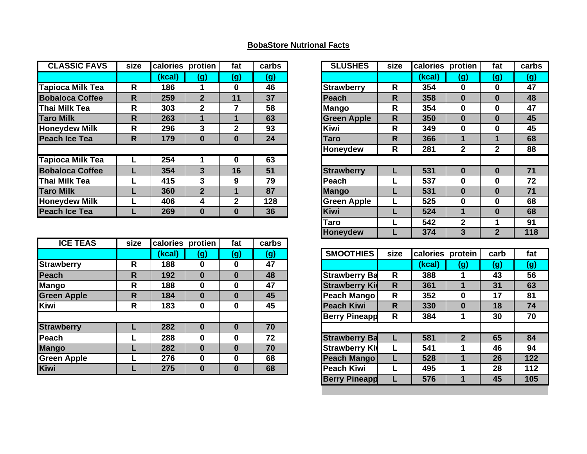## **BobaStore Nutrional Facts**

| size |        |                | fat          | carbs            |
|------|--------|----------------|--------------|------------------|
|      | (kcal) | (g)            | (g)          | (g)              |
| R    | 186    |                | 0            | 46               |
| R    | 259    | $\overline{2}$ | 11           | 37               |
| R    | 303    | $\mathbf{2}$   |              | 58               |
| R    | 263    |                |              | 63               |
| R    | 296    | 3              | $\mathbf{2}$ | 93               |
| R    | 179    | $\bf{0}$       | $\bf{0}$     | 24               |
|      |        |                |              |                  |
|      | 254    |                | 0            | 63               |
|      | 354    | 3              | 16           | 51               |
|      | 415    | 3              | 9            | 79               |
|      | 360    | $\overline{2}$ |              | 87               |
|      | 406    | 4              | 2            | 128              |
|      | 269    | $\bf{0}$       | $\bf{0}$     | 36               |
|      |        |                |              | calories protien |

| <b>ICE TEAS</b>    | size | calories | protien  | fat      | carbs |
|--------------------|------|----------|----------|----------|-------|
|                    |      | (kcal)   | (g)      | (g)      | (g)   |
| Strawberry         | R    | 188      | 0        | 0        | 47    |
| Peach              | R    | 192      | $\bf{0}$ | 0        | 48    |
| Mango              | R    | 188      | $\bf{0}$ | 0        | 47    |
| <b>Green Apple</b> | R    | 184      | $\bf{0}$ | $\bf{0}$ | 45    |
| <b>Kiwi</b>        | R    | 183      | 0        | $\bf{0}$ | 45    |
|                    |      |          |          |          |       |
| <b>Strawberry</b>  |      | 282      | $\bf{0}$ | $\bf{0}$ | 70    |
| Peach              |      | 288      | 0        | 0        | 72    |
| <b>Mango</b>       |      | 282      | $\bf{0}$ | $\bf{0}$ | 70    |
| <b>Green Apple</b> |      | 276      | $\bf{0}$ | 0        | 68    |
| <b>Kiwi</b>        |      | 275      | $\bf{0}$ | $\bf{0}$ | 68    |
|                    |      |          |          |          |       |

| alories | protien        | fat            | carbs | <b>SLUSHES</b>     | size                    | calories | protien        | fat            | carbs |
|---------|----------------|----------------|-------|--------------------|-------------------------|----------|----------------|----------------|-------|
| (kcal)  | (g)            | (g)            | (g)   |                    |                         | (kcal)   | (g)            | (g)            | (g)   |
| 186     | 1              | $\bf{0}$       | 46    | <b>Strawberry</b>  | R                       | 354      | $\bf{0}$       | $\mathbf 0$    | 47    |
| 259     | $\overline{2}$ | 11             | 37    | Peach              | $\overline{\mathsf{R}}$ | 358      | $\bf{0}$       | $\bf{0}$       | 48    |
| 303     | $\overline{2}$ | 7              | 58    | <b>Mango</b>       | R                       | 354      | $\mathbf 0$    | $\mathbf 0$    | 47    |
| 263     | 1              | 1              | 63    | <b>Green Apple</b> | $\overline{\mathsf{R}}$ | 350      | $\bf{0}$       | $\bf{0}$       | 45    |
| 296     | 3              | $\overline{2}$ | 93    | <b>Kiwi</b>        | R                       | 349      | $\bf{0}$       | $\mathbf 0$    | 45    |
| 179     | $\bf{0}$       | $\bf{0}$       | 24    | <b>Taro</b>        | R                       | 366      | 1              | 1              | 68    |
|         |                |                |       | <b>Honeydew</b>    | R                       | 281      | $\overline{2}$ | $\overline{2}$ | 88    |
| 254     |                | $\mathbf 0$    | 63    |                    |                         |          |                |                |       |
| 354     | 3              | 16             | 51    | <b>Strawberry</b>  |                         | 531      | $\bf{0}$       | $\bf{0}$       | 71    |
| 415     | 3              | 9              | 79    | Peach              |                         | 537      | $\bf{0}$       | $\mathbf 0$    | 72    |
| 360     | $\overline{2}$ | 1              | 87    | <b>Mango</b>       |                         | 531      | $\bf{0}$       | $\bf{0}$       | 71    |
| 406     | 4              | $\overline{2}$ | 128   | <b>Green Apple</b> |                         | 525      | $\bf{0}$       | $\mathbf 0$    | 68    |
| 269     | $\bf{0}$       | $\bf{0}$       | 36    | <b>Kiwi</b>        |                         | 524      | 1              | $\bf{0}$       | 68    |
|         |                |                |       | <b>Taro</b>        |                         | 542      | $\overline{2}$ |                | 91    |
|         |                |                |       | <b>Honeydew</b>    |                         | 374      | 3              | $\overline{2}$ | 118   |

|        | . .      |              |     |                       |      |          |              |      |     |
|--------|----------|--------------|-----|-----------------------|------|----------|--------------|------|-----|
| (kcal) | (g)      | (g)          | (g) | <b>SMOOTHIES</b>      | size | calories | protein      | carb | fat |
| 188    | $\bf{0}$ | $\bf{0}$     | 47  |                       |      | (kcal)   | (g)          | (g)  | (g) |
| 192    | $\bf{0}$ | $\bf{0}$     | 48  | <b>Strawberry Ba</b>  | R    | 388      |              | 43   | 56  |
| 188    | $\bf{0}$ | $\bf{0}$     | 47  | <b>Strawberry Kiv</b> | R    | 361      |              | 31   | 63  |
| 184    | $\bf{0}$ | $\bf{0}$     | 45  | Peach Mango           | R    | 352      | 0            | 17   | 81  |
| 183    | $\bf{0}$ | $\mathbf 0$  | 45  | <b>Peach Kiwi</b>     | R    | 330      | $\bf{0}$     | 18   | 74  |
|        |          |              |     | <b>Berry Pineapp</b>  | R    | 384      |              | 30   | 70  |
| 282    | $\bf{0}$ | $\bf{0}$     | 70  |                       |      |          |              |      |     |
| 288    | 0        | $\bf{0}$     | 72  | <b>Strawberry Ba</b>  |      | 581      | $\mathbf{2}$ | 65   | 84  |
| 282    | $\bf{0}$ | $\mathbf{0}$ | 70  | <b>Strawberry Kiv</b> |      | 541      |              | 46   | 94  |
| 276    | $\bf{0}$ | $\bf{0}$     | 68  | <b>Peach Mango</b>    |      | 528      |              | 26   | 122 |
| 275    | $\bf{0}$ | $\bf{0}$     | 68  | <b>Peach Kiwi</b>     |      | 495      |              | 28   | 112 |
|        |          |              |     | <b>Berry Pineapp</b>  |      | 576      |              | 45   | 105 |
|        |          |              |     |                       |      |          |              |      |     |